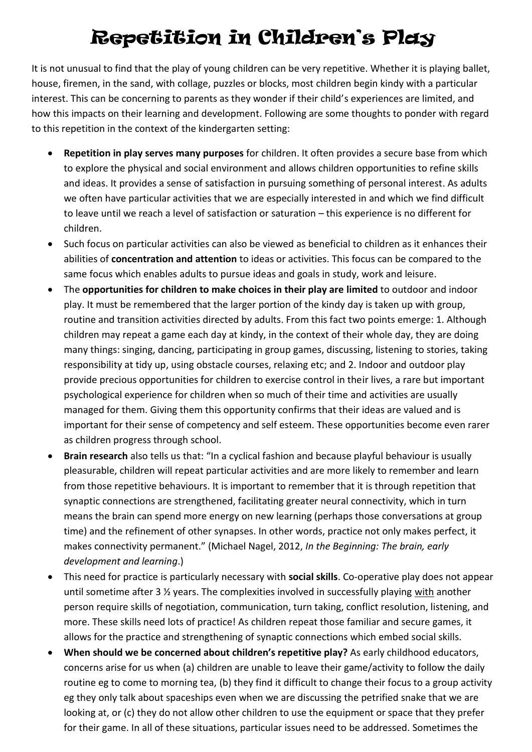## Repetition in Children's Play

It is not unusual to find that the play of young children can be very repetitive. Whether it is playing ballet, house, firemen, in the sand, with collage, puzzles or blocks, most children begin kindy with a particular interest. This can be concerning to parents as they wonder if their child's experiences are limited, and how this impacts on their learning and development. Following are some thoughts to ponder with regard to this repetition in the context of the kindergarten setting:

- **Repetition in play serves many purposes** for children. It often provides a secure base from which to explore the physical and social environment and allows children opportunities to refine skills and ideas. It provides a sense of satisfaction in pursuing something of personal interest. As adults we often have particular activities that we are especially interested in and which we find difficult to leave until we reach a level of satisfaction or saturation – this experience is no different for children.
- Such focus on particular activities can also be viewed as beneficial to children as it enhances their abilities of **concentration and attention** to ideas or activities. This focus can be compared to the same focus which enables adults to pursue ideas and goals in study, work and leisure.
- The **opportunities for children to make choices in their play are limited** to outdoor and indoor play. It must be remembered that the larger portion of the kindy day is taken up with group, routine and transition activities directed by adults. From this fact two points emerge: 1. Although children may repeat a game each day at kindy, in the context of their whole day, they are doing many things: singing, dancing, participating in group games, discussing, listening to stories, taking responsibility at tidy up, using obstacle courses, relaxing etc; and 2. Indoor and outdoor play provide precious opportunities for children to exercise control in their lives, a rare but important psychological experience for children when so much of their time and activities are usually managed for them. Giving them this opportunity confirms that their ideas are valued and is important for their sense of competency and self esteem. These opportunities become even rarer as children progress through school.
- **Brain research** also tells us that: "In a cyclical fashion and because playful behaviour is usually pleasurable, children will repeat particular activities and are more likely to remember and learn from those repetitive behaviours. It is important to remember that it is through repetition that synaptic connections are strengthened, facilitating greater neural connectivity, which in turn means the brain can spend more energy on new learning (perhaps those conversations at group time) and the refinement of other synapses. In other words, practice not only makes perfect, it makes connectivity permanent." (Michael Nagel, 2012, *In the Beginning: The brain, early development and learning*.)
- This need for practice is particularly necessary with **social skills**. Co-operative play does not appear until sometime after 3 ½ years. The complexities involved in successfully playing with another person require skills of negotiation, communication, turn taking, conflict resolution, listening, and more. These skills need lots of practice! As children repeat those familiar and secure games, it allows for the practice and strengthening of synaptic connections which embed social skills.
- **When should we be concerned about children's repetitive play?** As early childhood educators, concerns arise for us when (a) children are unable to leave their game/activity to follow the daily routine eg to come to morning tea, (b) they find it difficult to change their focus to a group activity eg they only talk about spaceships even when we are discussing the petrified snake that we are looking at, or (c) they do not allow other children to use the equipment or space that they prefer for their game. In all of these situations, particular issues need to be addressed. Sometimes the